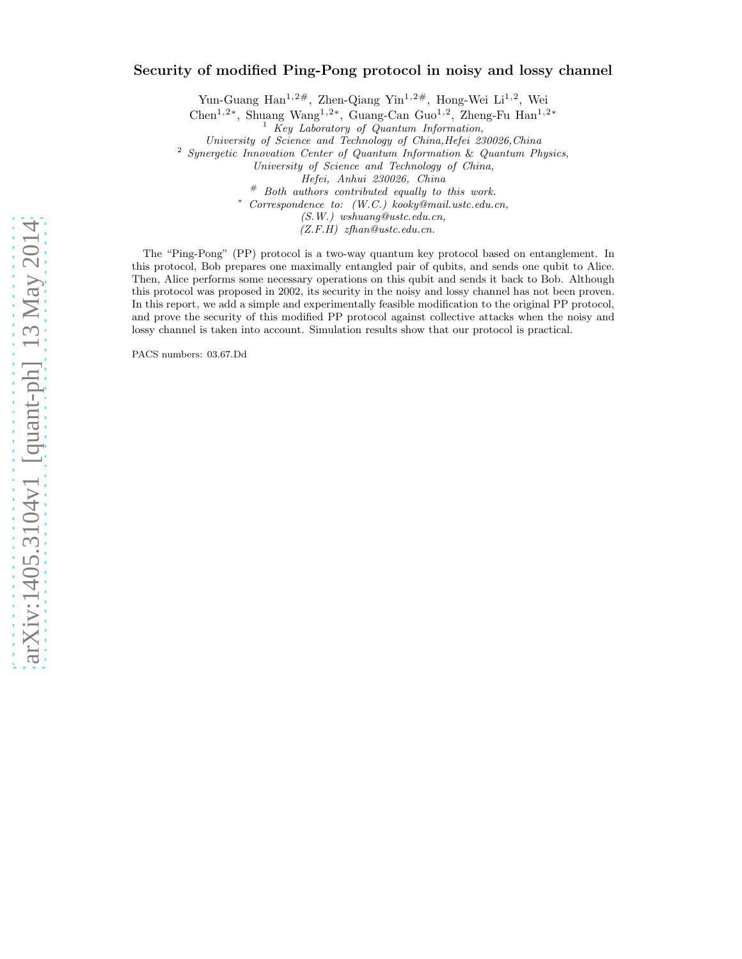# arXiv:1405.3104v1 [quant-ph] 13 May 2014 [arXiv:1405.3104v1 \[quant-ph\] 13 May 2014](http://arxiv.org/abs/1405.3104v1)

# Security of modified Ping-Pong protocol in noisy and lossy channel

Yun-Guang Han<sup>1,2#</sup>, Zhen-Qiang Yin<sup>1,2#</sup>, Hong-Wei Li<sup>1,2</sup>, Wei

Chen<sup>1</sup>,2<sup>∗</sup> , Shuang Wang<sup>1</sup>,2<sup>∗</sup> , Guang-Can Guo<sup>1</sup>,<sup>2</sup> , Zheng-Fu Han<sup>1</sup>,2<sup>∗</sup>

<sup>1</sup> *Key Laboratory of Quantum Information,*

*University of Science and Technology of China,Hefei 230026,China*

<sup>2</sup> *Synergetic Innovation Center of Quantum Information* & *Quantum Physics,*

*University of Science and Technology of China,*

*Hefei, Anhui 230026, China*

# *Both authors contributed equally to this work.*

<sup>∗</sup> *Correspondence to: (W.C.) kooky@mail.ustc.edu.cn,*

*(S.W.) wshuang@ustc.edu.cn,*

*(Z.F.H) zfhan@ustc.edu.cn.*

The "Ping-Pong" (PP) protocol is a two-way quantum key protocol based on entanglement. In this protocol, Bob prepares one maximally entangled pair of qubits, and sends one qubit to Alice. Then, Alice performs some necessary operations on this qubit and sends it back to Bob. Although this protocol was proposed in 2002, its security in the noisy and lossy channel has not been proven. In this report, we add a simple and experimentally feasible modification to the original PP protocol, and prove the security of this modified PP protocol against collective attacks when the noisy and lossy channel is taken into account. Simulation results show that our protocol is practical.

PACS numbers: 03.67.Dd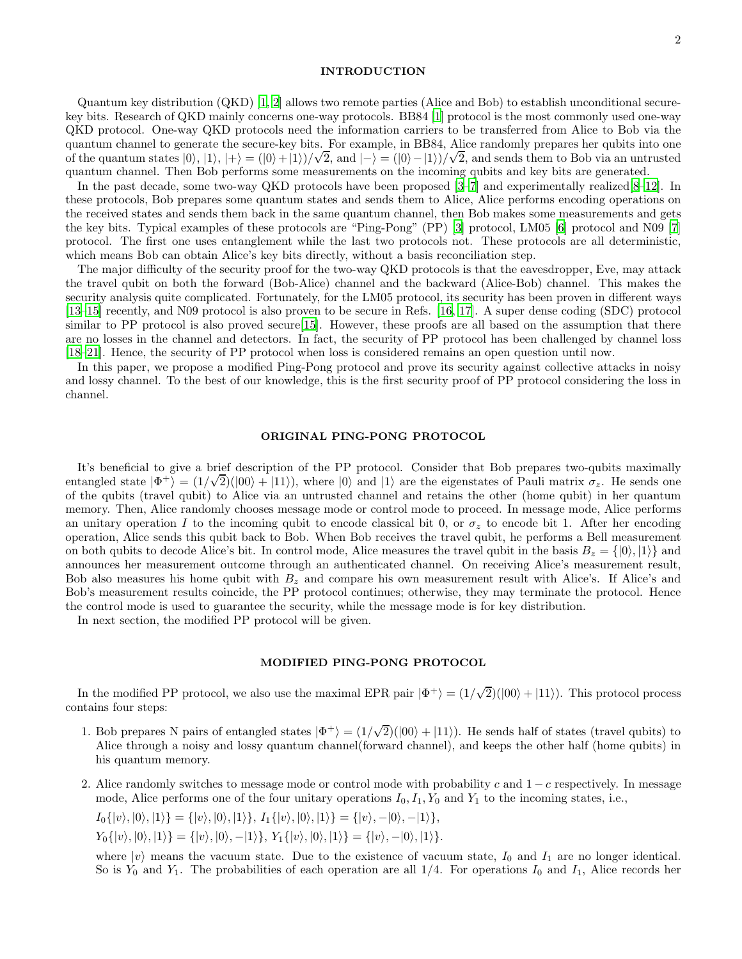# INTRODUCTION

Quantum key distribution (QKD) [\[1,](#page-4-0) [2](#page-4-1)] allows two remote parties (Alice and Bob) to establish unconditional securekey bits. Research of QKD mainly concerns one-way protocols. BB84 [\[1\]](#page-4-0) protocol is the most commonly used one-way QKD protocol. One-way QKD protocols need the information carriers to be transferred from Alice to Bob via the quantum channel to generate the secure-key bits. For example, in BB84, Alice randomly prepares her qubits into one of the quantum states  $|0\rangle, |1\rangle, |+\rangle = (|0\rangle + |1\rangle)/\sqrt{2}$ , and  $|-\rangle = (|0\rangle - |1\rangle)/\sqrt{2}$ , and sends them to Bob via an untrusted quantum channel. Then Bob performs some measurements on the incoming qubits and key bits are generated.

In the past decade, some two-way QKD protocols have been proposed [\[3](#page-4-2)[–7\]](#page-5-0) and experimentally realized[\[8–](#page-5-1)12]. In these protocols, Bob prepares some quantum states and sends them to Alice, Alice performs encoding operations on the received states and sends them back in the same quantum channel, then Bob makes some measurements and gets the key bits. Typical examples of these protocols are "Ping-Pong" (PP) [\[3\]](#page-4-2) protocol, LM05 [\[6\]](#page-5-2) protocol and N09 [\[7](#page-5-0)] protocol. The first one uses entanglement while the last two protocols not. These protocols are all deterministic, which means Bob can obtain Alice's key bits directly, without a basis reconciliation step.

The major difficulty of the security proof for the two-way QKD protocols is that the eavesdropper, Eve, may attack the travel qubit on both the forward (Bob-Alice) channel and the backward (Alice-Bob) channel. This makes the security analysis quite complicated. Fortunately, for the LM05 protocol, its security has been proven in different ways [\[13](#page-5-3)[–15\]](#page-5-4) recently, and N09 protocol is also proven to be secure in Refs. [16, 17]. A super dense coding (SDC) protocol similar to PP protocol is also proved secure [\[15\]](#page-5-4). However, these proofs are all based on the assumption that there are no losses in the channel and detectors. In fact, the security of PP protocol has been challenged by channel loss [\[18](#page-5-5)[–21\]](#page-5-6). Hence, the security of PP protocol when loss is considered remains an open question until now.

In this paper, we propose a modified Ping-Pong protocol and prove its security against collective attacks in noisy and lossy channel. To the best of our knowledge, this is the first security proof of PP protocol considering the loss in channel.

### ORIGINAL PING-PONG PROTOCOL

It's beneficial to give a brief description of the PP protocol. Consider that Bob prepares two-qubits maximally entangled state  $|\Phi^+\rangle = (1/\sqrt{2})(|00\rangle + |11\rangle)$ , where  $|0\rangle$  and  $|1\rangle$  are the eigenstates of Pauli matrix  $\sigma_z$ . He sends one of the qubits (travel qubit) to Alice via an untrusted channel and retains the other (home qubit) in her quantum memory. Then, Alice randomly chooses message mode or control mode to proceed. In message mode, Alice performs an unitary operation I to the incoming qubit to encode classical bit 0, or  $\sigma_z$  to encode bit 1. After her encoding operation, Alice sends this qubit back to Bob. When Bob receives the travel qubit, he performs a Bell measurement on both qubits to decode Alice's bit. In control mode, Alice measures the travel qubit in the basis  $B_z = \{ |0\rangle, |1\rangle \}$  and announces her measurement outcome through an authenticated channel. On receiving Alice's measurement result, Bob also measures his home qubit with  $B<sub>z</sub>$  and compare his own measurement result with Alice's. If Alice's and Bob's measurement results coincide, the PP protocol continues; otherwise, they may terminate the protocol. Hence the control mode is used to guarantee the security, while the message mode is for key distribution.

In next section, the modified PP protocol will be given.

# MODIFIED PING-PONG PROTOCOL

In the modified PP protocol, we also use the maximal EPR pair  $|\Phi^+\rangle = (1/\sqrt{2})(|00\rangle + |11\rangle)$ . This protocol process contains four steps:

- 1. Bob prepares N pairs of entangled states  $|\Phi^+\rangle = (1/\sqrt{2})(|00\rangle + |11\rangle)$ . He sends half of states (travel qubits) to Alice through a noisy and lossy quantum channel(forward channel), and keeps the other half (home qubits) in his quantum memory.
- 2. Alice randomly switches to message mode or control mode with probability c and  $1 c$  respectively. In message mode, Alice performs one of the four unitary operations  $I_0, I_1, Y_0$  and  $Y_1$  to the incoming states, i.e.,

$$
I_0\{|v\rangle,|0\rangle,|1\rangle\} = \{|v\rangle,|0\rangle,|1\rangle\}, I_1\{|v\rangle,|0\rangle,|1\rangle\} = \{|v\rangle,-|0\rangle,-|1\rangle\},
$$

 $Y_0\{|v\rangle,|0\rangle,|1\rangle\} = \{|v\rangle,|0\rangle,-|1\rangle\}, Y_1\{|v\rangle,|0\rangle,|1\rangle\} = \{|v\rangle,-|0\rangle,|1\rangle\}.$ 

where  $|v\rangle$  means the vacuum state. Due to the existence of vacuum state,  $I_0$  and  $I_1$  are no longer identical. So is  $Y_0$  and  $Y_1$ . The probabilities of each operation are all 1/4. For operations  $I_0$  and  $I_1$ , Alice records her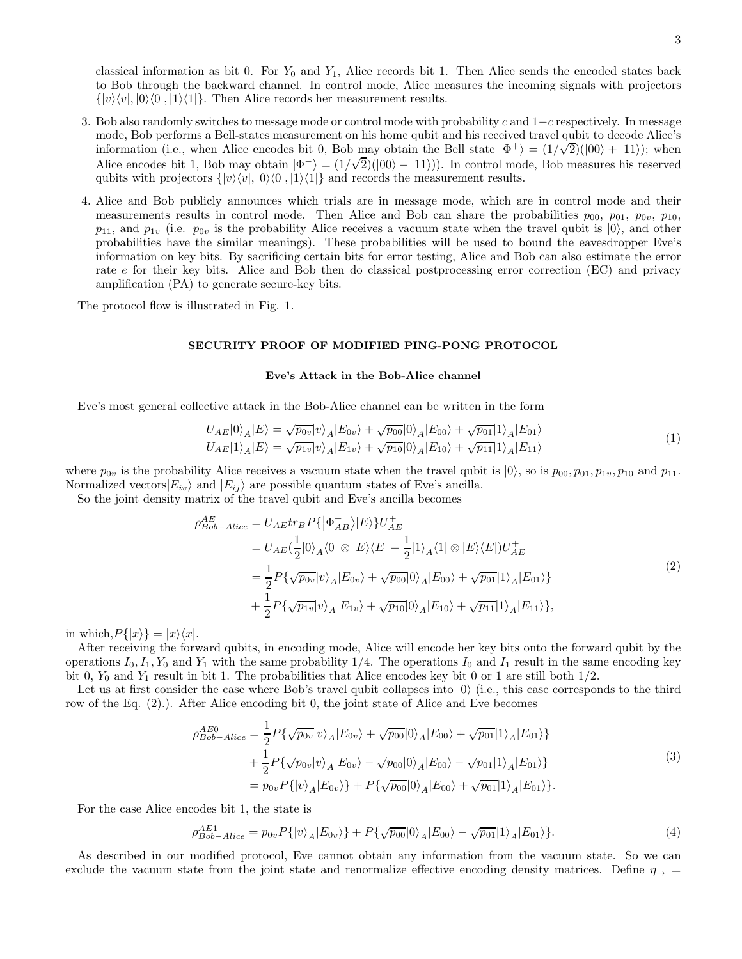classical information as bit 0. For  $Y_0$  and  $Y_1$ , Alice records bit 1. Then Alice sends the encoded states back to Bob through the backward channel. In control mode, Alice measures the incoming signals with projectors  $\{|v\rangle\langle v|, |0\rangle\langle 0|, |1\rangle\langle 1|\}.$  Then Alice records her measurement results.

- 3. Bob also randomly switches to message mode or control mode with probability c and  $1-c$  respectively. In message mode, Bob performs a Bell-states measurement on his home qubit and his received travel qubit to decode Alice's information (i.e., when Alice encodes bit 0, Bob may obtain the Bell state  $|\Phi^+\rangle = (1/\sqrt{2})(|00\rangle + |11\rangle)$ ; when Alice encodes bit 1, Bob may obtain  $|\Phi^-\rangle = (1/\sqrt{2})(|00\rangle - |11\rangle)$ . In control mode, Bob measures his reserved qubits with projectors  $\{|v\rangle\langle v|, |0\rangle\langle 0|, |1\rangle\langle 1|\}$  and records the measurement results.
- 4. Alice and Bob publicly announces which trials are in message mode, which are in control mode and their measurements results in control mode. Then Alice and Bob can share the probabilities  $p_{00}$ ,  $p_{01}$ ,  $p_{0v}$ ,  $p_{10}$ ,  $p_{11}$ , and  $p_{1v}$  (i.e.  $p_{0v}$  is the probability Alice receives a vacuum state when the travel qubit is  $|0\rangle$ , and other probabilities have the similar meanings). These probabilities will be used to bound the eavesdropper Eve's information on key bits. By sacrificing certain bits for error testing, Alice and Bob can also estimate the error rate e for their key bits. Alice and Bob then do classical postprocessing error correction (EC) and privacy amplification (PA) to generate secure-key bits.

The protocol flow is illustrated in Fig. 1.

# SECURITY PROOF OF MODIFIED PING-PONG PROTOCOL

### Eve's Attack in the Bob-Alice channel

Eve's most general collective attack in the Bob-Alice channel can be written in the form

$$
U_{AE}|0\rangle_{A}|E\rangle = \sqrt{p_{0v}}|v\rangle_{A}|E_{0v}\rangle + \sqrt{p_{00}}|0\rangle_{A}|E_{00}\rangle + \sqrt{p_{01}}|1\rangle_{A}|E_{01}\rangle
$$
  
\n
$$
U_{AE}|1\rangle_{A}|E\rangle = \sqrt{p_{1v}}|v\rangle_{A}|E_{1v}\rangle + \sqrt{p_{10}}|0\rangle_{A}|E_{10}\rangle + \sqrt{p_{11}}|1\rangle_{A}|E_{11}\rangle
$$
\n(1)

where  $p_{0v}$  is the probability Alice receives a vacuum state when the travel qubit is  $|0\rangle$ , so is  $p_{00}, p_{01}, p_{1v}, p_{10}$  and  $p_{11}$ . Normalized vectors  $|E_{iv}\rangle$  and  $|E_{ij}\rangle$  are possible quantum states of Eve's ancilla.

So the joint density matrix of the travel qubit and Eve's ancilla becomes

$$
\rho_{Bob-Alice}^{AE} = U_{AE} \{ \left| \Phi_{AB}^{+} \right\rangle \} \left| E \right\rangle \} U_{AE}^{+} \n= U_{AE} \left( \frac{1}{2} |0\rangle_{A} \langle 0| \otimes |E\rangle \langle E| + \frac{1}{2} |1\rangle_{A} \langle 1| \otimes |E\rangle \langle E| \right) U_{AE}^{+} \n= \frac{1}{2} P \{ \sqrt{p_{0v}} |v\rangle_{A} |E_{0v}\rangle + \sqrt{p_{00}} |0\rangle_{A} |E_{00}\rangle + \sqrt{p_{01}} |1\rangle_{A} |E_{01}\rangle \} \n+ \frac{1}{2} P \{ \sqrt{p_{1v}} |v\rangle_{A} |E_{1v}\rangle + \sqrt{p_{10}} |0\rangle_{A} |E_{10}\rangle + \sqrt{p_{11}} |1\rangle_{A} |E_{11}\rangle \},
$$
\n(2)

in which,  $P\{|x\rangle\} = |x\rangle\langle x|$ .

After receiving the forward qubits, in encoding mode, Alice will encode her key bits onto the forward qubit by the operations  $I_0, I_1, Y_0$  and  $Y_1$  with the same probability 1/4. The operations  $I_0$  and  $I_1$  result in the same encoding key bit 0,  $Y_0$  and  $Y_1$  result in bit 1. The probabilities that Alice encodes key bit 0 or 1 are still both  $1/2$ .

Let us at first consider the case where Bob's travel qubit collapses into  $|0\rangle$  (i.e., this case corresponds to the third row of the Eq. (2).). After Alice encoding bit 0, the joint state of Alice and Eve becomes

$$
\rho_{Bob-Alice}^{AEO} = \frac{1}{2} P \{ \sqrt{p_{0v}} |v\rangle_A |E_{0v} \rangle + \sqrt{p_{00}} |0\rangle_A |E_{00} \rangle + \sqrt{p_{01}} |1\rangle_A |E_{01} \rangle \} \n+ \frac{1}{2} P \{ \sqrt{p_{0v}} |v\rangle_A |E_{0v} \rangle - \sqrt{p_{00}} |0\rangle_A |E_{00} \rangle - \sqrt{p_{01}} |1\rangle_A |E_{01} \rangle \} \n= p_{0v} P \{ |v\rangle_A |E_{0v} \rangle \} + P \{ \sqrt{p_{00}} |0\rangle_A |E_{00} \rangle + \sqrt{p_{01}} |1\rangle_A |E_{01} \rangle \}.
$$
\n(3)

For the case Alice encodes bit 1, the state is

$$
\rho_{Bob-Alice}^{AE1} = p_{0v} P\{|v\rangle_A |E_{0v}\rangle\} + P\{\sqrt{p_{00}}|0\rangle_A |E_{00}\rangle - \sqrt{p_{01}}|1\rangle_A |E_{01}\rangle\}.
$$
\n(4)

As described in our modified protocol, Eve cannot obtain any information from the vacuum state. So we can exclude the vacuum state from the joint state and renormalize effective encoding density matrices. Define  $\eta_{\rightarrow} =$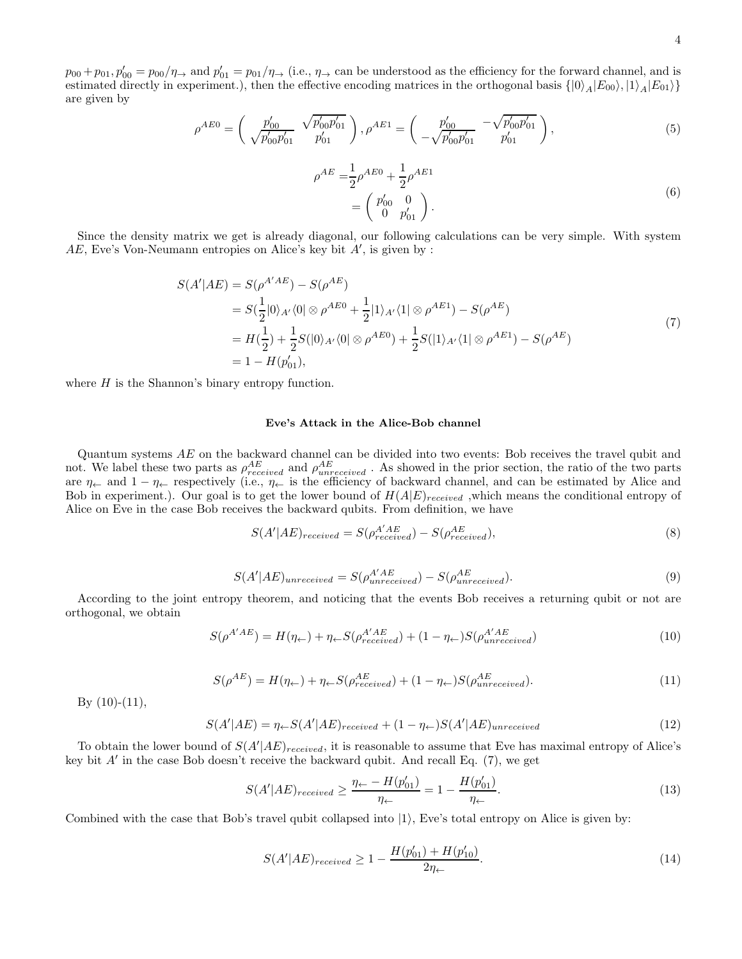4

 $p_{00} + p_{01}$ ,  $p'_{00} = p_{00}/\eta_{\rightarrow}$  and  $p'_{01} = p_{01}/\eta_{\rightarrow}$  (i.e.,  $\eta_{\rightarrow}$  can be understood as the efficiency for the forward channel, and is estimated directly in experiment.), then the effective encoding matrices in the orthogonal basis  $\{|0\rangle_A|E_{00}\rangle, |1\rangle_A|E_{01}\rangle\}$ are given by

$$
\rho^{AB0} = \begin{pmatrix} p'_{00} & \sqrt{p'_{00}p'_{01}} \\ \sqrt{p'_{00}p'_{01}} & p'_{01} \end{pmatrix}, \rho^{AB1} = \begin{pmatrix} p'_{00} & -\sqrt{p'_{00}p'_{01}} \\ -\sqrt{p'_{00}p'_{01}} & p'_{01} \end{pmatrix},
$$
\n(5)

$$
\rho^{AE} = \frac{1}{2} \rho^{A E 0} + \frac{1}{2} \rho^{A E 1}
$$
  
=  $\begin{pmatrix} p'_{00} & 0 \\ 0 & p'_{01} \end{pmatrix}$ . (6)

Since the density matrix we get is already diagonal, our following calculations can be very simple. With system  $AE$ , Eve's Von-Neumann entropies on Alice's key bit  $A'$ , is given by :

$$
S(A'|AE) = S(\rho^{A'AE}) - S(\rho^{AE})
$$
  
=  $S(\frac{1}{2}|0\rangle_{A'}\langle 0| \otimes \rho^{A E 0} + \frac{1}{2}|1\rangle_{A'}\langle 1| \otimes \rho^{A E 1}) - S(\rho^{A E})$   
=  $H(\frac{1}{2}) + \frac{1}{2}S(|0\rangle_{A'}\langle 0| \otimes \rho^{A E 0}) + \frac{1}{2}S(|1\rangle_{A'}\langle 1| \otimes \rho^{A E 1}) - S(\rho^{A E})$   
=  $1 - H(p'_{01}),$  (7)

where  $H$  is the Shannon's binary entropy function.

### Eve's Attack in the Alice-Bob channel

Quantum systems AE on the backward channel can be divided into two events: Bob receives the travel qubit and not. We label these two parts as  $\rho_{received}^{AE}$  and  $\rho_{unreceived}^{AE}$ . As showed in the prior section, the ratio of the two parts are  $\eta_{\leftarrow}$  and  $1 - \eta_{\leftarrow}$  respectively (i.e.,  $\eta_{\leftarrow}$  is the efficiency of backward channel, and can be estimated by Alice and Bob in experiment.). Our goal is to get the lower bound of  $H(A|E)_{received}$  ,which means the conditional entropy of Alice on Eve in the case Bob receives the backward qubits. From definition, we have

$$
S(A'|AE)_{received} = S(\rho_{received}^{A'AE}) - S(\rho_{received}^{AE}),
$$
\n(8)

$$
S(A'|AE)_{unreceived} = S(\rho_{unreceived}^{A'AE}) - S(\rho_{unreceived}^{AE}).
$$
\n(9)

According to the joint entropy theorem, and noticing that the events Bob receives a returning qubit or not are orthogonal, we obtain

$$
S(\rho^{A'AE}) = H(\eta_{\leftarrow}) + \eta_{\leftarrow} S(\rho^{A'AE}_{received}) + (1 - \eta_{\leftarrow}) S(\rho^{A'AE}_{unreceived}) \tag{10}
$$

$$
S(\rho^{AE}) = H(\eta_{\leftarrow}) + \eta_{\leftarrow} S(\rho^{AE}_{received}) + (1 - \eta_{\leftarrow}) S(\rho^{AE}_{unreceived}). \tag{11}
$$

By  $(10)-(11)$ ,

$$
S(A'|AE) = \eta \leftarrow S(A'|AE)_{received} + (1 - \eta \leftarrow)S(A'|AE)_{unreceived}
$$
\n(12)

To obtain the lower bound of  $S(A'|AE)_{received}$ , it is reasonable to assume that Eve has maximal entropy of Alice's key bit  $A'$  in the case Bob doesn't receive the backward qubit. And recall Eq. (7), we get

$$
S(A'|AE)_{received} \ge \frac{\eta_{\leftarrow} - H(p'_{01})}{\eta_{\leftarrow}} = 1 - \frac{H(p'_{01})}{\eta_{\leftarrow}}.
$$
\n(13)

Combined with the case that Bob's travel qubit collapsed into  $|1\rangle$ , Eve's total entropy on Alice is given by:

$$
S(A'|AE)_{received} \ge 1 - \frac{H(p'_{01}) + H(p'_{10})}{2\eta_{\leftarrow}}.
$$
\n(14)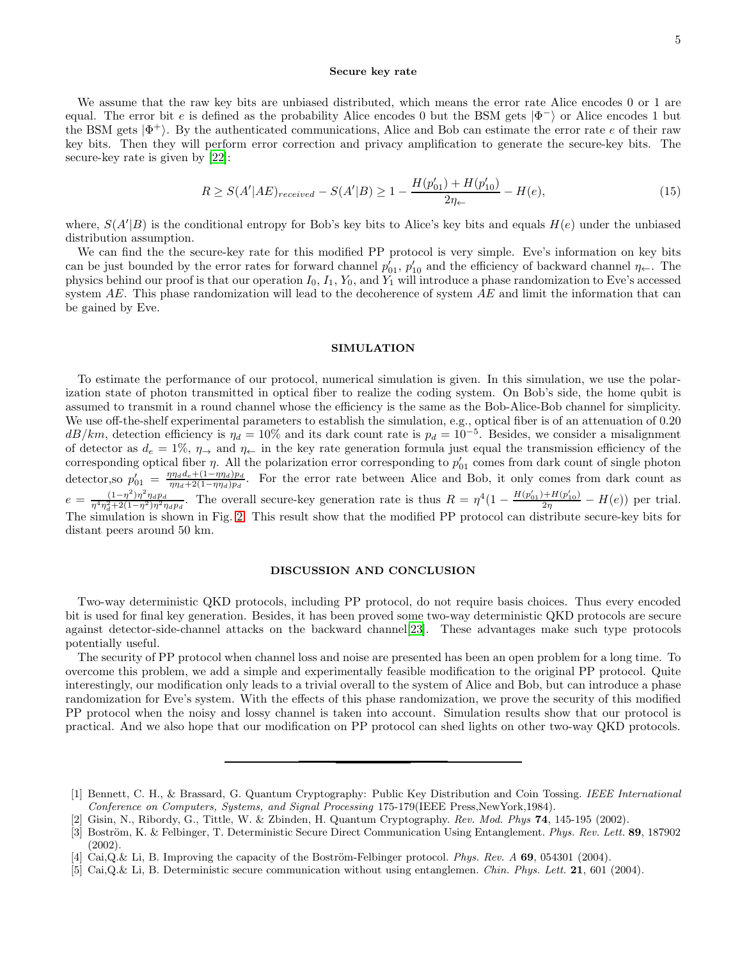### Secure key rate

We assume that the raw key bits are unbiased distributed, which means the error rate Alice encodes 0 or 1 are equal. The error bit e is defined as the probability Alice encodes 0 but the BSM gets  $|\Phi^-\rangle$  or Alice encodes 1 but the BSM gets  $|\Phi^+\rangle$ . By the authenticated communications, Alice and Bob can estimate the error rate e of their raw key bits. Then they will perform error correction and privacy amplification to generate the secure-key bits. The secure-key rate is given by [\[22](#page-5-7)]:

$$
R \ge S(A'|AE)_{received} - S(A'|B) \ge 1 - \frac{H(p'_{01}) + H(p'_{10})}{2\eta_{\leftarrow}} - H(e),\tag{15}
$$

where,  $S(A'|B)$  is the conditional entropy for Bob's key bits to Alice's key bits and equals  $H(e)$  under the unbiased distribution assumption.

We can find the the secure-key rate for this modified PP protocol is very simple. Eve's information on key bits can be just bounded by the error rates for forward channel  $p'_{01}$ ,  $p'_{10}$  and the efficiency of backward channel  $\eta_{\leftarrow}$ . The physics behind our proof is that our operation  $I_0$ ,  $I_1$ ,  $Y_0$ , and  $Y_1$  will introduce a phase randomization to Eve's accessed system  $AE$ . This phase randomization will lead to the decoherence of system  $AE$  and limit the information that can be gained by Eve.

## SIMULATION

To estimate the performance of our protocol, numerical simulation is given. In this simulation, we use the polarization state of photon transmitted in optical fiber to realize the coding system. On Bob's side, the home qubit is assumed to transmit in a round channel whose the efficiency is the same as the Bob-Alice-Bob channel for simplicity. We use off-the-shelf experimental parameters to establish the simulation, e.g., optical fiber is of an attenuation of 0.20  $dB/km$ , detection efficiency is  $\eta_d = 10\%$  and its dark count rate is  $p_d = 10^{-5}$ . Besides, we consider a misalignment of detector as  $d_e = 1\%$ ,  $\eta_{\rightarrow}$  and  $\eta_{\leftarrow}$  in the key rate generation formula just equal the transmission efficiency of the corresponding optical fiber  $\eta$ . All the polarization error corresponding to  $p'_{01}$  comes from dark count of single photon detector, so  $p'_{01} = \frac{\eta \eta_d d_e + (1 - \eta \eta_d)p_d}{\eta \eta_d + 2(1 - \eta \eta_d)p_d}$  $p'_{01} = \frac{\eta \eta_d u_e + (1-\eta \eta_d)p_d}{\eta \eta_d + 2(1-\eta \eta_d)p_d}$ . For the error rate between Alice and Bob, it only comes from dark count as  $e = \frac{(1-\eta^2)\eta^2 \eta_d p_d}{n^4 n^2 + 2(1-n^2)n^2}$  $\frac{(1-\eta^2)\eta^2\eta_d p_d}{\eta^4\eta_d^2+2(1-\eta^2)\eta^2\eta_d p_d}$ . The overall secure-key generation rate is thus  $R = \eta^4(1 - \frac{H(p'_{01}) + H(p'_{10})}{2\eta} - H(e))$  per trial. The simulation is shown in Fig. [2.](#page-6-0) This result show that the modified PP protocol can distribute secure-key bits for distant peers around 50 km.

# DISCUSSION AND CONCLUSION

Two-way deterministic QKD protocols, including PP protocol, do not require basis choices. Thus every encoded bit is used for final key generation. Besides, it has been proved some two-way deterministic QKD protocols are secure against detector-side-channel attacks on the backward channel[\[23\]](#page-5-8). These advantages make such type protocols potentially useful.

The security of PP protocol when channel loss and noise are presented has been an open problem for a long time. To overcome this problem, we add a simple and experimentally feasible modification to the original PP protocol. Quite interestingly, our modification only leads to a trivial overall to the system of Alice and Bob, but can introduce a phase randomization for Eve's system. With the effects of this phase randomization, we prove the security of this modified PP protocol when the noisy and lossy channel is taken into account. Simulation results show that our protocol is practical. And we also hope that our modification on PP protocol can shed lights on other two-way QKD protocols.

<span id="page-4-0"></span><sup>[1]</sup> Bennett, C. H., & Brassard, G. Quantum Cryptography: Public Key Distribution and Coin Tossing. *IEEE International Conference on Computers, Systems, and Signal Processing* 175-179(IEEE Press,NewYork,1984).

<span id="page-4-1"></span><sup>[2]</sup> Gisin, N., Ribordy, G., Tittle, W. & Zbinden, H. Quantum Cryptography. *Rev. Mod. Phys* 74, 145-195 (2002).

<span id="page-4-2"></span><sup>[3]</sup> Boström, K. & Felbinger, T. Deterministic Secure Direct Communication Using Entanglement. *Phys. Rev. Lett.* 89, 187902 (2002).

<sup>[4]</sup> Cai,Q.& Li, B. Improving the capacity of the Boström-Felbinger protocol. *Phys. Rev. A* 69, 054301 (2004).

<sup>[5]</sup> Cai,Q.& Li, B. Deterministic secure communication without using entanglemen. *Chin. Phys. Lett.* 21, 601 (2004).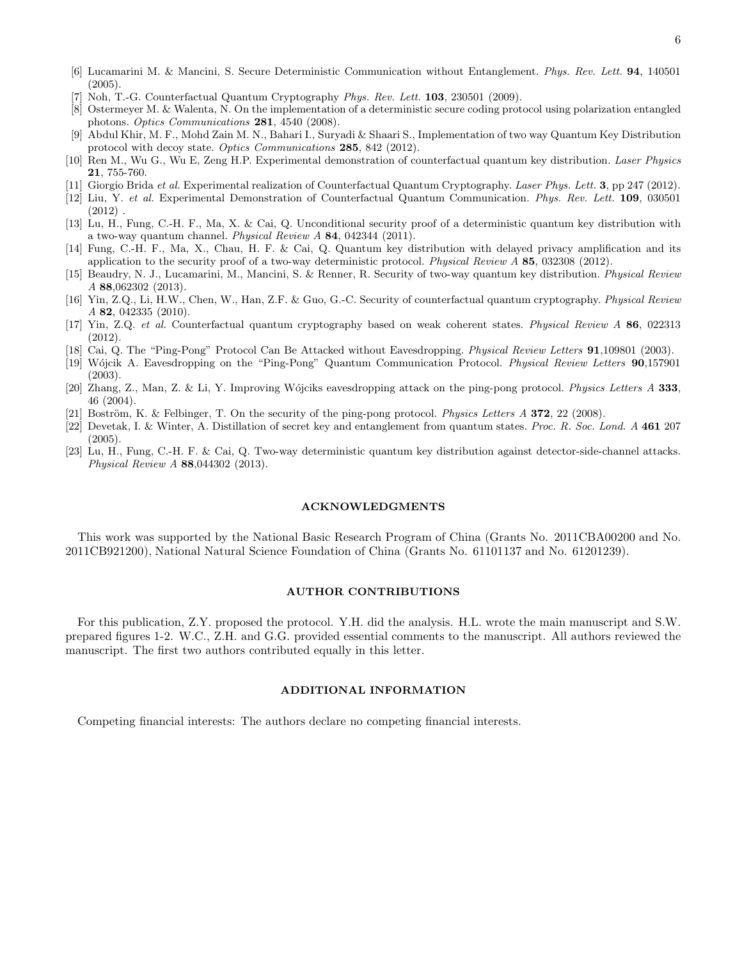- <span id="page-5-2"></span>[6] Lucamarini M. & Mancini, S. Secure Deterministic Communication without Entanglement. *Phys. Rev. Lett.* 94, 140501 (2005).
- <span id="page-5-0"></span>[7] Noh, T.-G. Counterfactual Quantum Cryptography *Phys. Rev. Lett.* 103, 230501 (2009).
- <span id="page-5-1"></span>[8] Ostermeyer M. & Walenta, N. On the implementation of a deterministic secure coding protocol using polarization entangled photons. *Optics Communications* 281, 4540 (2008).
- [9] Abdul Khir, M. F., Mohd Zain M. N., Bahari I., Suryadi & Shaari S., Implementation of two way Quantum Key Distribution protocol with decoy state. *Optics Communications* 285, 842 (2012).
- [10] Ren M., Wu G., Wu E, Zeng H.P. Experimental demonstration of counterfactual quantum key distribution. *Laser Physics* 21, 755-760.
- [11] Giorgio Brida *et al.* Experimental realization of Counterfactual Quantum Cryptography. *Laser Phys. Lett.* 3, pp 247 (2012).
- [12] Liu, Y. *et al.* Experimental Demonstration of Counterfactual Quantum Communication. *Phys. Rev. Lett.* 109, 030501  $(2012)$ .
- <span id="page-5-3"></span>[13] Lu, H., Fung, C.-H. F., Ma, X. & Cai, Q. Unconditional security proof of a deterministic quantum key distribution with a two-way quantum channel. *Physical Review A* 84, 042344 (2011).
- [14] Fung, C.-H. F., Ma, X., Chau, H. F. & Cai, Q. Quantum key distribution with delayed privacy amplification and its application to the security proof of a two-way deterministic protocol. *Physical Review A* 85, 032308 (2012).
- <span id="page-5-4"></span>[15] Beaudry, N. J., Lucamarini, M., Mancini, S. & Renner, R. Security of two-way quantum key distribution. *Physical Review A* 88,062302 (2013).
- [16] Yin, Z.Q., Li, H.W., Chen, W., Han, Z.F. & Guo, G.-C. Security of counterfactual quantum cryptography. *Physical Review A* 82, 042335 (2010).
- [17] Yin, Z.Q. *et al.* Counterfactual quantum cryptography based on weak coherent states. *Physical Review A* 86, 022313 (2012).
- <span id="page-5-5"></span>[18] Cai, Q. The "Ping-Pong" Protocol Can Be Attacked without Eavesdropping. *Physical Review Letters* 91,109801 (2003).
- [19] W´ojcik A. Eavesdropping on the "Ping-Pong" Quantum Communication Protocol. *Physical Review Letters* 90,157901 (2003).
- [20] Zhang, Z., Man, Z. & Li, Y. Improving W´ojciks eavesdropping attack on the ping-pong protocol. *Physics Letters A* 333, 46 (2004).
- <span id="page-5-6"></span>[21] Boström, K. & Felbinger, T. On the security of the ping-pong protocol. *Physics Letters A* 372, 22 (2008).
- <span id="page-5-7"></span>[22] Devetak, I. & Winter, A. Distillation of secret key and entanglement from quantum states. *Proc. R. Soc. Lond. A* 461 207 (2005).
- <span id="page-5-8"></span>[23] Lu, H., Fung, C.-H. F. & Cai, Q. Two-way deterministic quantum key distribution against detector-side-channel attacks. *Physical Review A* 88,044302 (2013).

### ACKNOWLEDGMENTS

This work was supported by the National Basic Research Program of China (Grants No. 2011CBA00200 and No. 2011CB921200), National Natural Science Foundation of China (Grants No. 61101137 and No. 61201239).

## AUTHOR CONTRIBUTIONS

For this publication, Z.Y. proposed the protocol. Y.H. did the analysis. H.L. wrote the main manuscript and S.W. prepared figures 1-2. W.C., Z.H. and G.G. provided essential comments to the manuscript. All authors reviewed the manuscript. The first two authors contributed equally in this letter.

### ADDITIONAL INFORMATION

Competing financial interests: The authors declare no competing financial interests.